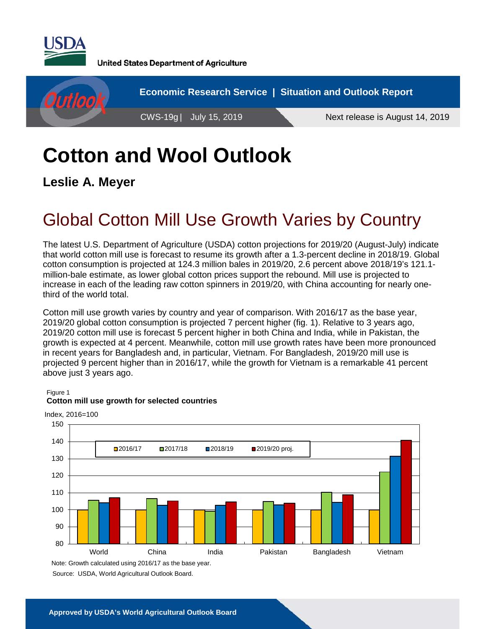

**United States Department of Agriculture** 



# **Cotton and Wool Outlook**

**Leslie A. Meyer**

## Global Cotton Mill Use Growth Varies by Country

The latest U.S. Department of Agriculture (USDA) cotton projections for 2019/20 (August-July) indicate that world cotton mill use is forecast to resume its growth after a 1.3-percent decline in 2018/19. Global cotton consumption is projected at 124.3 million bales in 2019/20, 2.6 percent above 2018/19's 121.1 million-bale estimate, as lower global cotton prices support the rebound. Mill use is projected to increase in each of the leading raw cotton spinners in 2019/20, with China accounting for nearly onethird of the world total.

Cotton mill use growth varies by country and year of comparison. With 2016/17 as the base year, 2019/20 global cotton consumption is projected 7 percent higher (fig. 1). Relative to 3 years ago, 2019/20 cotton mill use is forecast 5 percent higher in both China and India, while in Pakistan, the growth is expected at 4 percent. Meanwhile, cotton mill use growth rates have been more pronounced in recent years for Bangladesh and, in particular, Vietnam. For Bangladesh, 2019/20 mill use is projected 9 percent higher than in 2016/17, while the growth for Vietnam is a remarkable 41 percent above just 3 years ago.

Figure 1



#### **Cotton mill use growth for selected countries**

Source: USDA, World Agricultural Outlook Board. Note: Growth calculated using 2016/17 as the base year.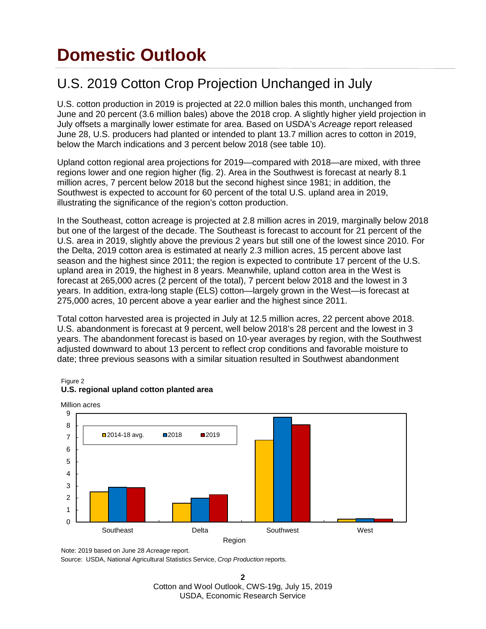## **Domestic Outlook**

## U.S. 2019 Cotton Crop Projection Unchanged in July

U.S. cotton production in 2019 is projected at 22.0 million bales this month, unchanged from June and 20 percent (3.6 million bales) above the 2018 crop. A slightly higher yield projection in July offsets a marginally lower estimate for area. Based on USDA's *Acreage* report released June 28, U.S. producers had planted or intended to plant 13.7 million acres to cotton in 2019, below the March indications and 3 percent below 2018 (see table 10).

Upland cotton regional area projections for 2019—compared with 2018—are mixed, with three regions lower and one region higher (fig. 2). Area in the Southwest is forecast at nearly 8.1 million acres, 7 percent below 2018 but the second highest since 1981; in addition, the Southwest is expected to account for 60 percent of the total U.S. upland area in 2019, illustrating the significance of the region's cotton production.

In the Southeast, cotton acreage is projected at 2.8 million acres in 2019, marginally below 2018 but one of the largest of the decade. The Southeast is forecast to account for 21 percent of the U.S. area in 2019, slightly above the previous 2 years but still one of the lowest since 2010. For the Delta, 2019 cotton area is estimated at nearly 2.3 million acres, 15 percent above last season and the highest since 2011; the region is expected to contribute 17 percent of the U.S. upland area in 2019, the highest in 8 years. Meanwhile, upland cotton area in the West is forecast at 265,000 acres (2 percent of the total), 7 percent below 2018 and the lowest in 3 years. In addition, extra-long staple (ELS) cotton—largely grown in the West—is forecast at 275,000 acres, 10 percent above a year earlier and the highest since 2011.

Total cotton harvested area is projected in July at 12.5 million acres, 22 percent above 2018. U.S. abandonment is forecast at 9 percent, well below 2018's 28 percent and the lowest in 3 years. The abandonment forecast is based on 10-year averages by region, with the Southwest adjusted downward to about 13 percent to reflect crop conditions and favorable moisture to date; three previous seasons with a similar situation resulted in Southwest abandonment



#### Figure 2 **U.S. regional upland cotton planted area**

Million acres

Source: USDA, National Agricultural Statistics Service, *Crop Production* reports.

Note: 2019 based on June 28 *Acreage* report.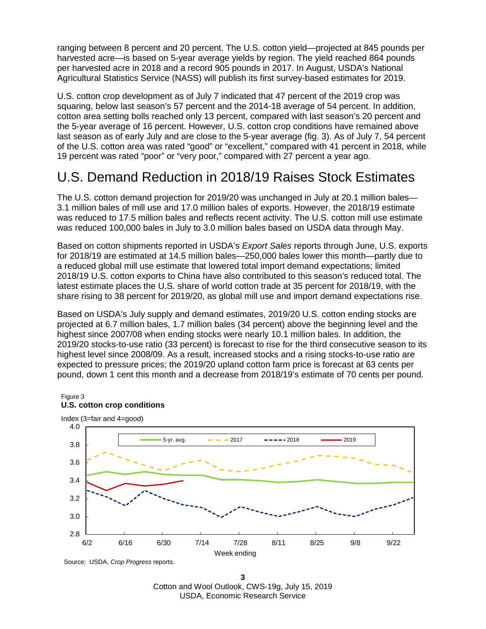ranging between 8 percent and 20 percent. The U.S. cotton yield—projected at 845 pounds per harvested acre—is based on 5-year average yields by region. The yield reached 864 pounds per harvested acre in 2018 and a record 905 pounds in 2017. In August, USDA's National Agricultural Statistics Service (NASS) will publish its first survey-based estimates for 2019.

U.S. cotton crop development as of July 7 indicated that 47 percent of the 2019 crop was squaring, below last season's 57 percent and the 2014-18 average of 54 percent. In addition, cotton area setting bolls reached only 13 percent, compared with last season's 20 percent and the 5-year average of 16 percent. However, U.S. cotton crop conditions have remained above last season as of early July and are close to the 5-year average (fig. 3). As of July 7, 54 percent of the U.S. cotton area was rated "good" or "excellent," compared with 41 percent in 2018, while 19 percent was rated "poor" or "very poor," compared with 27 percent a year ago.

#### U.S. Demand Reduction in 2018/19 Raises Stock Estimates

The U.S. cotton demand projection for 2019/20 was unchanged in July at 20.1 million bales— 3.1 million bales of mill use and 17.0 million bales of exports. However, the 2018/19 estimate was reduced to 17.5 million bales and reflects recent activity. The U.S. cotton mill use estimate was reduced 100,000 bales in July to 3.0 million bales based on USDA data through May.

Based on cotton shipments reported in USDA's *Export Sales* reports through June, U.S. exports for 2018/19 are estimated at 14.5 million bales—250,000 bales lower this month—partly due to a reduced global mill use estimate that lowered total import demand expectations; limited 2018/19 U.S. cotton exports to China have also contributed to this season's reduced total. The latest estimate places the U.S. share of world cotton trade at 35 percent for 2018/19, with the share rising to 38 percent for 2019/20, as global mill use and import demand expectations rise.

Based on USDA's July supply and demand estimates, 2019/20 U.S. cotton ending stocks are projected at 6.7 million bales, 1.7 million bales (34 percent) above the beginning level and the highest since 2007/08 when ending stocks were nearly 10.1 million bales. In addition, the 2019/20 stocks-to-use ratio (33 percent) is forecast to rise for the third consecutive season to its highest level since 2008/09. As a result, increased stocks and a rising stocks-to-use ratio are expected to pressure prices; the 2019/20 upland cotton farm price is forecast at 63 cents per pound, down 1 cent this month and a decrease from 2018/19's estimate of 70 cents per pound.



**3** Cotton and Wool Outlook, CWS-19g, July 15, 2019 USDA, Economic Research Service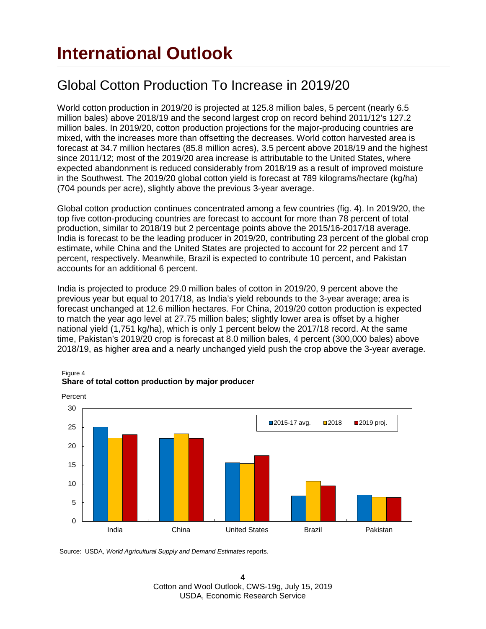#### Global Cotton Production To Increase in 2019/20

World cotton production in 2019/20 is projected at 125.8 million bales, 5 percent (nearly 6.5 million bales) above 2018/19 and the second largest crop on record behind 2011/12's 127.2 million bales. In 2019/20, cotton production projections for the major-producing countries are mixed, with the increases more than offsetting the decreases. World cotton harvested area is forecast at 34.7 million hectares (85.8 million acres), 3.5 percent above 2018/19 and the highest since 2011/12; most of the 2019/20 area increase is attributable to the United States, where expected abandonment is reduced considerably from 2018/19 as a result of improved moisture in the Southwest. The 2019/20 global cotton yield is forecast at 789 kilograms/hectare (kg/ha) (704 pounds per acre), slightly above the previous 3-year average.

Global cotton production continues concentrated among a few countries (fig. 4). In 2019/20, the top five cotton-producing countries are forecast to account for more than 78 percent of total production, similar to 2018/19 but 2 percentage points above the 2015/16-2017/18 average. India is forecast to be the leading producer in 2019/20, contributing 23 percent of the global crop estimate, while China and the United States are projected to account for 22 percent and 17 percent, respectively. Meanwhile, Brazil is expected to contribute 10 percent, and Pakistan accounts for an additional 6 percent.

India is projected to produce 29.0 million bales of cotton in 2019/20, 9 percent above the previous year but equal to 2017/18, as India's yield rebounds to the 3-year average; area is forecast unchanged at 12.6 million hectares. For China, 2019/20 cotton production is expected to match the year ago level at 27.75 million bales; slightly lower area is offset by a higher national yield (1,751 kg/ha), which is only 1 percent below the 2017/18 record. At the same time, Pakistan's 2019/20 crop is forecast at 8.0 million bales, 4 percent (300,000 bales) above 2018/19, as higher area and a nearly unchanged yield push the crop above the 3-year average.



#### Figure 4 **Share of total cotton production by major producer**

Source: USDA, *World Agricultural Supply and Demand Estimates* reports.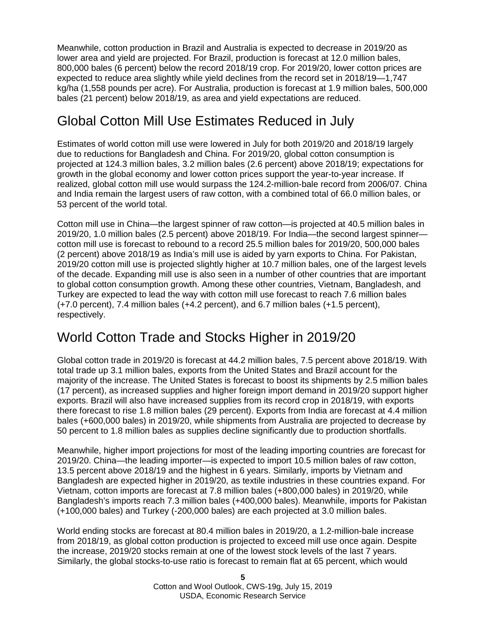Meanwhile, cotton production in Brazil and Australia is expected to decrease in 2019/20 as lower area and yield are projected. For Brazil, production is forecast at 12.0 million bales, 800,000 bales (6 percent) below the record 2018/19 crop. For 2019/20, lower cotton prices are expected to reduce area slightly while yield declines from the record set in 2018/19—1,747 kg/ha (1,558 pounds per acre). For Australia, production is forecast at 1.9 million bales, 500,000 bales (21 percent) below 2018/19, as area and yield expectations are reduced.

### Global Cotton Mill Use Estimates Reduced in July

Estimates of world cotton mill use were lowered in July for both 2019/20 and 2018/19 largely due to reductions for Bangladesh and China. For 2019/20, global cotton consumption is projected at 124.3 million bales, 3.2 million bales (2.6 percent) above 2018/19; expectations for growth in the global economy and lower cotton prices support the year-to-year increase. If realized, global cotton mill use would surpass the 124.2-million-bale record from 2006/07. China and India remain the largest users of raw cotton, with a combined total of 66.0 million bales, or 53 percent of the world total.

Cotton mill use in China—the largest spinner of raw cotton—is projected at 40.5 million bales in 2019/20, 1.0 million bales (2.5 percent) above 2018/19. For India—the second largest spinner cotton mill use is forecast to rebound to a record 25.5 million bales for 2019/20, 500,000 bales (2 percent) above 2018/19 as India's mill use is aided by yarn exports to China. For Pakistan, 2019/20 cotton mill use is projected slightly higher at 10.7 million bales, one of the largest levels of the decade. Expanding mill use is also seen in a number of other countries that are important to global cotton consumption growth. Among these other countries, Vietnam, Bangladesh, and Turkey are expected to lead the way with cotton mill use forecast to reach 7.6 million bales (+7.0 percent), 7.4 million bales (+4.2 percent), and 6.7 million bales (+1.5 percent), respectively.

### World Cotton Trade and Stocks Higher in 2019/20

Global cotton trade in 2019/20 is forecast at 44.2 million bales, 7.5 percent above 2018/19. With total trade up 3.1 million bales, exports from the United States and Brazil account for the majority of the increase. The United States is forecast to boost its shipments by 2.5 million bales (17 percent), as increased supplies and higher foreign import demand in 2019/20 support higher exports. Brazil will also have increased supplies from its record crop in 2018/19, with exports there forecast to rise 1.8 million bales (29 percent). Exports from India are forecast at 4.4 million bales (+600,000 bales) in 2019/20, while shipments from Australia are projected to decrease by 50 percent to 1.8 million bales as supplies decline significantly due to production shortfalls.

Meanwhile, higher import projections for most of the leading importing countries are forecast for 2019/20. China—the leading importer—is expected to import 10.5 million bales of raw cotton, 13.5 percent above 2018/19 and the highest in 6 years. Similarly, imports by Vietnam and Bangladesh are expected higher in 2019/20, as textile industries in these countries expand. For Vietnam, cotton imports are forecast at 7.8 million bales (+800,000 bales) in 2019/20, while Bangladesh's imports reach 7.3 million bales (+400,000 bales). Meanwhile, imports for Pakistan (+100,000 bales) and Turkey (-200,000 bales) are each projected at 3.0 million bales.

World ending stocks are forecast at 80.4 million bales in 2019/20, a 1.2-million-bale increase from 2018/19, as global cotton production is projected to exceed mill use once again. Despite the increase, 2019/20 stocks remain at one of the lowest stock levels of the last 7 years. Similarly, the global stocks-to-use ratio is forecast to remain flat at 65 percent, which would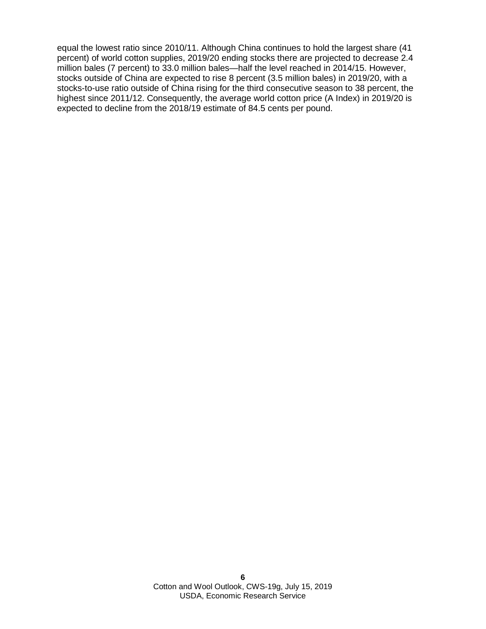equal the lowest ratio since 2010/11. Although China continues to hold the largest share (41 percent) of world cotton supplies, 2019/20 ending stocks there are projected to decrease 2.4 million bales (7 percent) to 33.0 million bales—half the level reached in 2014/15. However, stocks outside of China are expected to rise 8 percent (3.5 million bales) in 2019/20, with a stocks-to-use ratio outside of China rising for the third consecutive season to 38 percent, the highest since 2011/12. Consequently, the average world cotton price (A Index) in 2019/20 is expected to decline from the 2018/19 estimate of 84.5 cents per pound.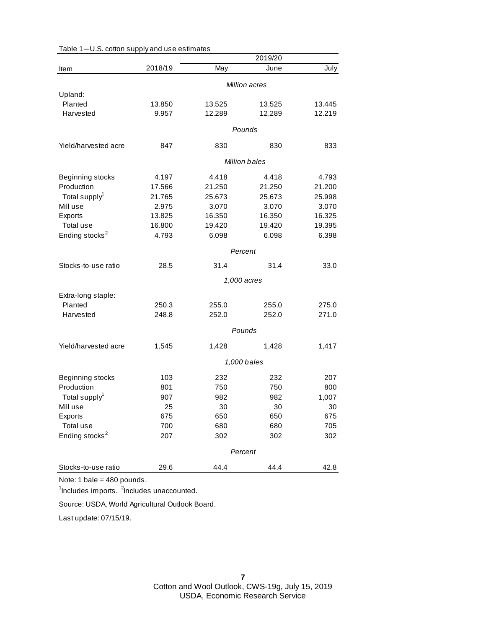|                            |               |        | 2019/20       |        |  |
|----------------------------|---------------|--------|---------------|--------|--|
| Item                       | 2018/19       | May    | June          | July   |  |
|                            |               |        | Million acres |        |  |
| Upland:                    |               |        |               |        |  |
| Planted                    | 13.850        | 13.525 | 13.525        | 13.445 |  |
| Harvested                  | 9.957         | 12.289 | 12.289        | 12.219 |  |
|                            |               |        | Pounds        |        |  |
| Yield/harvested acre       | 847           | 830    | 830           | 833    |  |
|                            | Million bales |        |               |        |  |
| Beginning stocks           | 4.197         | 4.418  | 4.418         | 4.793  |  |
| Production                 | 17.566        | 21.250 | 21.250        | 21.200 |  |
| Total supply <sup>1</sup>  | 21.765        | 25.673 | 25.673        | 25.998 |  |
| Mill use                   | 2.975         | 3.070  | 3.070         | 3.070  |  |
| Exports                    | 13.825        | 16.350 | 16.350        | 16.325 |  |
| Total use                  | 16.800        | 19.420 | 19.420        | 19.395 |  |
| Ending stocks <sup>2</sup> | 4.793         | 6.098  | 6.098         | 6.398  |  |
|                            | Percent       |        |               |        |  |
| Stocks-to-use ratio        | 28.5          | 31.4   | 31.4          | 33.0   |  |
|                            |               |        |               |        |  |
|                            |               |        | 1,000 acres   |        |  |
| Extra-long staple:         |               |        |               |        |  |
| Planted                    | 250.3         | 255.0  | 255.0         | 275.0  |  |
| Harvested                  | 248.8         | 252.0  | 252.0         | 271.0  |  |
|                            | Pounds        |        |               |        |  |
| Yield/harvested acre       | 1,545         | 1,428  | 1,428         | 1,417  |  |
|                            | 1,000 bales   |        |               |        |  |
|                            |               |        |               |        |  |
| Beginning stocks           | 103           | 232    | 232           | 207    |  |
| Production                 | 801           | 750    | 750           | 800    |  |
| Total supply <sup>1</sup>  | 907           | 982    | 982           | 1,007  |  |
| Mill use                   | 25            | 30     | 30            | 30     |  |
| Exports                    | 675           | 650    | 650           | 675    |  |
| Total use                  | 700           | 680    | 680           | 705    |  |
| Ending stocks <sup>2</sup> | 207           | 302    | 302           | 302    |  |
|                            |               |        | Percent       |        |  |
| Stocks-to-use ratio        | 29.6          | 44.4   | 44.4          | 42.8   |  |

Table 1—U.S. cotton supply and use estimates

Note: 1 bale = 480 pounds.

<sup>1</sup>Includes imports. <sup>2</sup>Includes unaccounted.

Source: USDA, World Agricultural Outlook Board.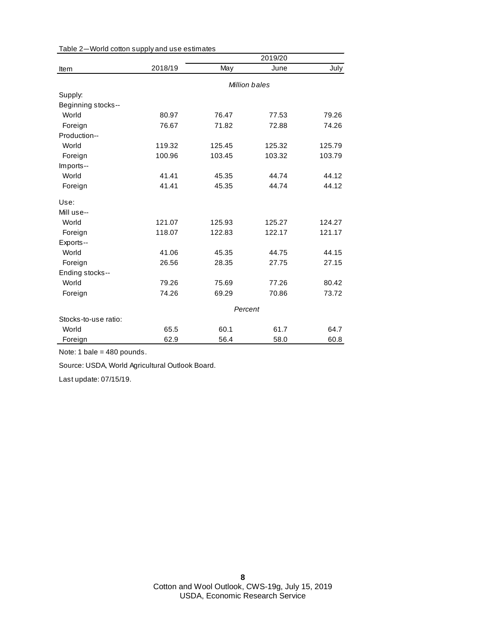|                      |         |        | 2019/20       |        |
|----------------------|---------|--------|---------------|--------|
| Item                 | 2018/19 | May    | June          | July   |
|                      |         |        | Million bales |        |
| Supply:              |         |        |               |        |
| Beginning stocks--   |         |        |               |        |
| World                | 80.97   | 76.47  | 77.53         | 79.26  |
| Foreign              | 76.67   | 71.82  | 72.88         | 74.26  |
| Production--         |         |        |               |        |
| World                | 119.32  | 125.45 | 125.32        | 125.79 |
| Foreign              | 100.96  | 103.45 | 103.32        | 103.79 |
| Imports--            |         |        |               |        |
| World                | 41.41   | 45.35  | 44.74         | 44.12  |
| Foreign              | 41.41   | 45.35  | 44.74         | 44.12  |
| Use:                 |         |        |               |        |
| Mill use--           |         |        |               |        |
| World                | 121.07  | 125.93 | 125.27        | 124.27 |
| Foreign              | 118.07  | 122.83 | 122.17        | 121.17 |
| Exports--            |         |        |               |        |
| World                | 41.06   | 45.35  | 44.75         | 44.15  |
| Foreign              | 26.56   | 28.35  | 27.75         | 27.15  |
| Ending stocks--      |         |        |               |        |
| World                | 79.26   | 75.69  | 77.26         | 80.42  |
| Foreign              | 74.26   | 69.29  | 70.86         | 73.72  |
|                      | Percent |        |               |        |
| Stocks-to-use ratio: |         |        |               |        |
| World                | 65.5    | 60.1   | 61.7          | 64.7   |
| Foreign              | 62.9    | 56.4   | 58.0          | 60.8   |

Table 2—World cotton supply and use estimates

Note: 1 bale = 480 pounds.

Source: USDA, World Agricultural Outlook Board.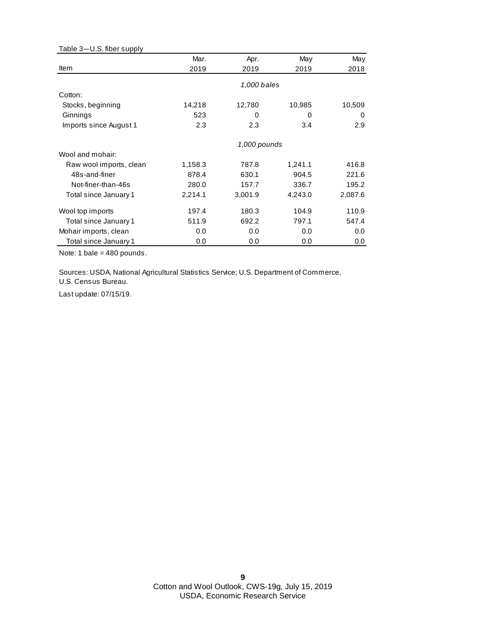| Table 3-U.S. fiber supply |         |              |         |         |
|---------------------------|---------|--------------|---------|---------|
|                           | Mar.    | Apr.         | May     | May     |
| Item                      | 2019    | 2019         | 2019    | 2018    |
|                           |         | 1,000 bales  |         |         |
| Cotton:                   |         |              |         |         |
| Stocks, beginning         | 14,218  | 12,780       | 10,985  | 10,509  |
| Ginnings                  | 523     | 0            | 0       | 0       |
| Imports since August 1    | 2.3     | 2.3          | 3.4     | 2.9     |
|                           |         | 1,000 pounds |         |         |
| Wool and mohair:          |         |              |         |         |
| Raw wool imports, clean   | 1,158.3 | 787.8        | 1,241.1 | 416.8   |
| 48s-and-finer             | 878.4   | 630.1        | 904.5   | 221.6   |
| Not-finer-than-46s        | 280.0   | 157.7        | 336.7   | 195.2   |
| Total since January 1     | 2,214.1 | 3,001.9      | 4,243.0 | 2,087.6 |
| Wool top imports          | 197.4   | 180.3        | 104.9   | 110.9   |
| Total since January 1     | 511.9   | 692.2        | 797.1   | 547.4   |
| Mohair imports, clean     | 0.0     | 0.0          | 0.0     | 0.0     |
| Total since January 1     | 0.0     | 0.0          | 0.0     | 0.0     |

Note: 1 bale = 480 pounds.

Sources: USDA, National Agricultural Statistics Service; U.S. Department of Commerce,

U.S. Census Bureau.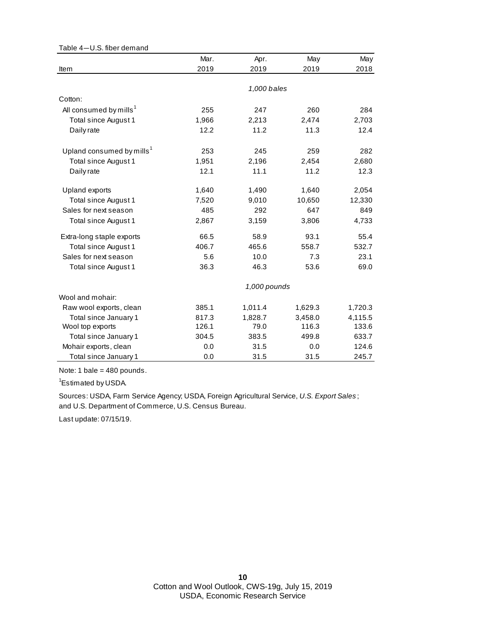| Table 4-U.S. fiber demand             |       |              |         |         |
|---------------------------------------|-------|--------------|---------|---------|
|                                       | Mar.  | Apr.         | May     | May     |
| Item                                  | 2019  | 2019         | 2019    | 2018    |
|                                       |       |              |         |         |
|                                       |       | 1,000 bales  |         |         |
| Cotton:                               |       |              |         |         |
| All consumed by mills <sup>1</sup>    | 255   | 247          | 260     | 284     |
| Total since August 1                  | 1,966 | 2,213        | 2,474   | 2,703   |
| Daily rate                            | 12.2  | 11.2         | 11.3    | 12.4    |
| Upland consumed by mills <sup>1</sup> | 253   | 245          | 259     | 282     |
| Total since August 1                  | 1,951 | 2,196        | 2,454   | 2,680   |
| Daily rate                            | 12.1  | 11.1         | 11.2    | 12.3    |
| Upland exports                        | 1,640 | 1,490        | 1,640   | 2,054   |
| Total since August 1                  | 7,520 | 9,010        | 10,650  | 12,330  |
| Sales for next season                 | 485   | 292          | 647     | 849     |
| Total since August 1                  | 2,867 | 3,159        | 3,806   | 4,733   |
| Extra-long staple exports             | 66.5  | 58.9         | 93.1    | 55.4    |
| <b>Total since August 1</b>           | 406.7 | 465.6        | 558.7   | 532.7   |
| Sales for next season                 | 5.6   | 10.0         | 7.3     | 23.1    |
| Total since August 1                  | 36.3  | 46.3         | 53.6    | 69.0    |
|                                       |       | 1,000 pounds |         |         |
| Wool and mohair:                      |       |              |         |         |
| Raw wool exports, clean               | 385.1 | 1,011.4      | 1,629.3 | 1,720.3 |
| Total since January 1                 | 817.3 | 1,828.7      | 3,458.0 | 4,115.5 |
| Wool top exports                      | 126.1 | 79.0         | 116.3   | 133.6   |
| Total since January 1                 | 304.5 | 383.5        | 499.8   | 633.7   |
| Mohair exports, clean                 | 0.0   | 31.5         | 0.0     | 124.6   |
| Total since January 1                 | 0.0   | 31.5         | 31.5    | 245.7   |

Note: 1 bale = 480 pounds.

<sup>1</sup>Estimated by USDA.

and U.S. Department of Commerce, U.S. Census Bureau. Sources: USDA, Farm Service Agency; USDA, Foreign Agricultural Service, *U.S. Export Sales* ;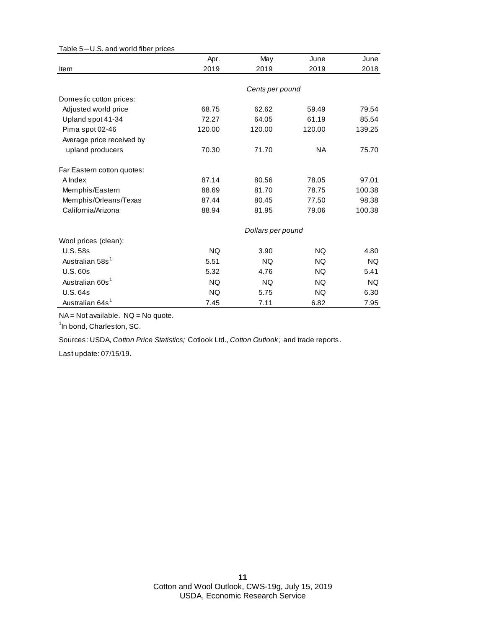| rable 5-0.0. and wond liber prices |           |                   |           |           |
|------------------------------------|-----------|-------------------|-----------|-----------|
|                                    | Apr.      | May               | June      | June      |
| Item                               | 2019      | 2019              | 2019      | 2018      |
|                                    |           |                   |           |           |
|                                    |           | Cents per pound   |           |           |
| Domestic cotton prices:            |           |                   |           |           |
| Adjusted world price               | 68.75     | 62.62             | 59.49     | 79.54     |
| Upland spot 41-34                  | 72.27     | 64.05             | 61.19     | 85.54     |
| Pima spot 02-46                    | 120.00    | 120.00            | 120.00    | 139.25    |
| Average price received by          |           |                   |           |           |
| upland producers                   | 70.30     | 71.70             | <b>NA</b> | 75.70     |
| Far Eastern cotton quotes:         |           |                   |           |           |
| A Index                            | 87.14     | 80.56             | 78.05     | 97.01     |
| Memphis/Eastern                    | 88.69     | 81.70             | 78.75     | 100.38    |
| Memphis/Orleans/Texas              | 87.44     | 80.45             | 77.50     | 98.38     |
| California/Arizona                 | 88.94     | 81.95             | 79.06     | 100.38    |
|                                    |           | Dollars per pound |           |           |
| Wool prices (clean):               |           |                   |           |           |
| <b>U.S. 58s</b>                    | <b>NQ</b> | 3.90              | <b>NQ</b> | 4.80      |
| Australian 58s <sup>1</sup>        | 5.51      | <b>NQ</b>         | <b>NQ</b> | <b>NQ</b> |
| <b>U.S. 60s</b>                    | 5.32      | 4.76              | <b>NQ</b> | 5.41      |
| Australian 60s <sup>1</sup>        | <b>NQ</b> | <b>NQ</b>         | NQ.       | <b>NQ</b> |
| <b>U.S. 64s</b>                    | NQ.       | 5.75              | NQ.       | 6.30      |
| Australian 64s <sup>1</sup>        | 7.45      | 7.11              | 6.82      | 7.95      |

Table 5—U.S. and world fiber prices

NA = Not available. NQ = No quote.

<sup>1</sup>In bond, Charleston, SC.

Sources: USDA, *Cotton Price Statistics;* Cotlook Ltd., *Cotton Outlook;* and trade reports.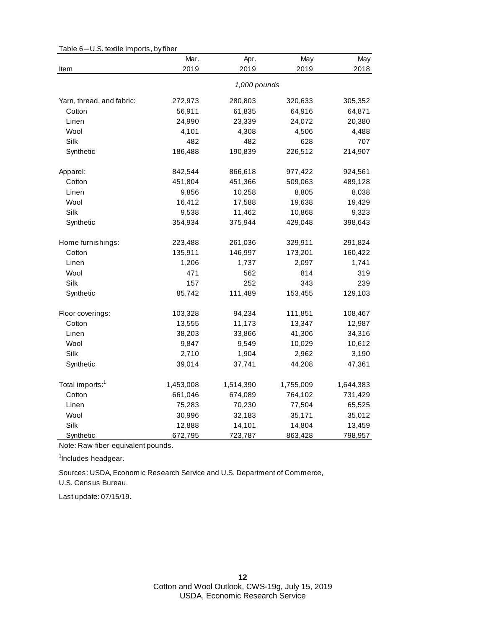|                             | Mar.         | Apr.      | May       | May       |  |
|-----------------------------|--------------|-----------|-----------|-----------|--|
| Item                        | 2019         | 2019      | 2019      | 2018      |  |
|                             | 1,000 pounds |           |           |           |  |
| Yarn, thread, and fabric:   | 272,973      | 280,803   | 320,633   | 305,352   |  |
| Cotton                      | 56,911       | 61,835    | 64,916    | 64,871    |  |
| Linen                       | 24,990       | 23,339    | 24,072    | 20,380    |  |
| Wool                        | 4,101        | 4,308     | 4,506     | 4,488     |  |
| Silk                        | 482          | 482       | 628       | 707       |  |
| Synthetic                   | 186,488      | 190,839   | 226,512   | 214,907   |  |
| Apparel:                    | 842,544      | 866,618   | 977,422   | 924,561   |  |
| Cotton                      | 451,804      | 451,366   | 509,063   | 489,128   |  |
| Linen                       | 9,856        | 10,258    | 8,805     | 8,038     |  |
| Wool                        | 16,412       | 17,588    | 19,638    | 19,429    |  |
| Silk                        | 9,538        | 11,462    | 10,868    | 9,323     |  |
| Synthetic                   | 354,934      | 375,944   | 429,048   | 398,643   |  |
| Home furnishings:           | 223,488      | 261,036   | 329,911   | 291,824   |  |
| Cotton                      | 135,911      | 146,997   | 173,201   | 160,422   |  |
| Linen                       | 1,206        | 1,737     | 2,097     | 1,741     |  |
| Wool                        | 471          | 562       | 814       | 319       |  |
| Silk                        | 157          | 252       | 343       | 239       |  |
| Synthetic                   | 85,742       | 111,489   | 153,455   | 129,103   |  |
| Floor coverings:            | 103,328      | 94,234    | 111,851   | 108,467   |  |
| Cotton                      | 13,555       | 11,173    | 13,347    | 12,987    |  |
| Linen                       | 38,203       | 33,866    | 41,306    | 34,316    |  |
| Wool                        | 9,847        | 9,549     | 10,029    | 10,612    |  |
| Silk                        | 2,710        | 1,904     | 2,962     | 3,190     |  |
| Synthetic                   | 39,014       | 37,741    | 44,208    | 47,361    |  |
| Total imports: <sup>1</sup> | 1,453,008    | 1,514,390 | 1,755,009 | 1,644,383 |  |
| Cotton                      | 661,046      | 674,089   | 764,102   | 731,429   |  |
| Linen                       | 75,283       | 70,230    | 77,504    | 65,525    |  |
| Wool                        | 30,996       | 32,183    | 35,171    | 35,012    |  |
| Silk                        | 12,888       | 14,101    | 14,804    | 13,459    |  |
| Synthetic                   | 672,795      | 723,787   | 863,428   | 798,957   |  |

Table 6—U.S. textile imports, by fiber

Note: Raw-fiber-equivalent pounds.

<sup>1</sup>Includes headgear.

Sources: USDA, Economic Research Service and U.S. Department of Commerce,

U.S. Census Bureau.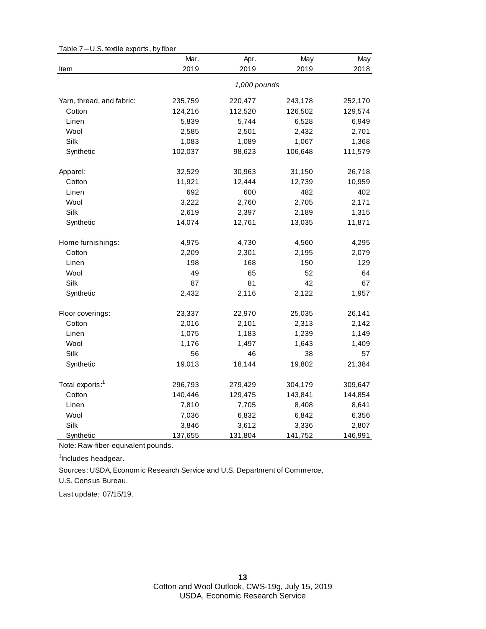|                             | Mar.    | Apr.         | May     | May     |
|-----------------------------|---------|--------------|---------|---------|
| Item                        | 2019    | 2019         | 2019    | 2018    |
|                             |         | 1,000 pounds |         |         |
| Yarn, thread, and fabric:   | 235,759 | 220,477      | 243,178 | 252,170 |
| Cotton                      | 124,216 | 112,520      | 126,502 | 129,574 |
| Linen                       | 5,839   | 5,744        | 6,528   | 6,949   |
| Wool                        | 2,585   | 2,501        | 2,432   | 2,701   |
| Silk                        | 1,083   | 1,089        | 1,067   | 1,368   |
| Synthetic                   | 102,037 | 98,623       | 106,648 | 111,579 |
| Apparel:                    | 32,529  | 30,963       | 31,150  | 26,718  |
| Cotton                      | 11,921  | 12,444       | 12,739  | 10,959  |
| Linen                       | 692     | 600          | 482     | 402     |
| Wool                        | 3,222   | 2,760        | 2,705   | 2,171   |
| Silk                        | 2,619   | 2,397        | 2,189   | 1,315   |
| Synthetic                   | 14,074  | 12,761       | 13,035  | 11,871  |
| Home furnishings:           | 4,975   | 4,730        | 4,560   | 4,295   |
| Cotton                      | 2,209   | 2,301        | 2,195   | 2,079   |
| Linen                       | 198     | 168          | 150     | 129     |
| Wool                        | 49      | 65           | 52      | 64      |
| Silk                        | 87      | 81           | 42      | 67      |
| Synthetic                   | 2,432   | 2,116        | 2,122   | 1,957   |
| Floor coverings:            | 23,337  | 22,970       | 25,035  | 26,141  |
| Cotton                      | 2,016   | 2,101        | 2,313   | 2,142   |
| Linen                       | 1,075   | 1,183        | 1,239   | 1,149   |
| Wool                        | 1,176   | 1,497        | 1,643   | 1,409   |
| Silk                        | 56      | 46           | 38      | 57      |
| Synthetic                   | 19,013  | 18,144       | 19,802  | 21,384  |
| Total exports: <sup>1</sup> | 296,793 | 279,429      | 304,179 | 309,647 |
| Cotton                      | 140,446 | 129,475      | 143,841 | 144,854 |
| Linen                       | 7,810   | 7,705        | 8,408   | 8,641   |
| Wool                        | 7,036   | 6,832        | 6,842   | 6,356   |
| Silk                        | 3,846   | 3,612        | 3,336   | 2,807   |
| Synthetic                   | 137,655 | 131,804      | 141,752 | 146,991 |

Table 7—U.S. textile exports, by fiber

Note: Raw-fiber-equivalent pounds.

<sup>1</sup>Includes headgear.

U.S. Census Bureau. Sources: USDA, Economic Research Service and U.S. Department of Commerce,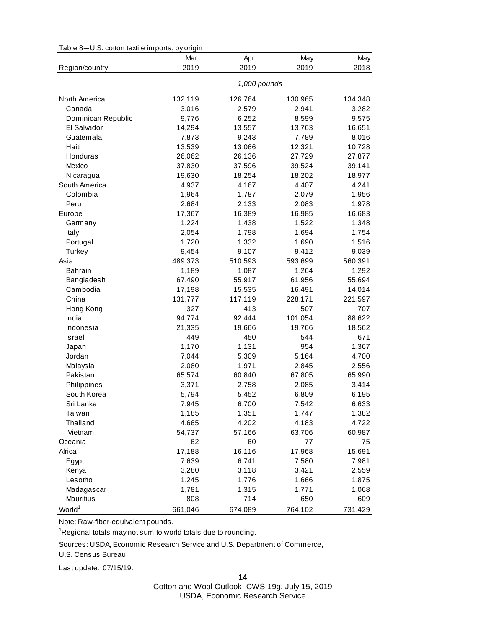| Table 8-U.S. cotton textile imports, by origin |  |  |  |  |  |
|------------------------------------------------|--|--|--|--|--|
|------------------------------------------------|--|--|--|--|--|

|                    | Mar.         | Apr.    | May     | May     |  |
|--------------------|--------------|---------|---------|---------|--|
| Region/country     | 2019         | 2019    | 2019    | 2018    |  |
|                    | 1,000 pounds |         |         |         |  |
| North America      | 132,119      | 126,764 | 130,965 | 134,348 |  |
| Canada             | 3,016        | 2,579   | 2,941   | 3,282   |  |
| Dominican Republic | 9,776        | 6,252   | 8,599   | 9,575   |  |
| El Salvador        | 14,294       | 13,557  | 13,763  | 16,651  |  |
| Guatemala          | 7,873        | 9,243   | 7,789   | 8,016   |  |
| Haiti              | 13,539       | 13,066  | 12,321  | 10,728  |  |
| Honduras           | 26,062       | 26,136  | 27,729  | 27,877  |  |
| Mexico             | 37,830       | 37,596  | 39,524  | 39,141  |  |
| Nicaragua          | 19,630       | 18,254  | 18,202  | 18,977  |  |
| South America      | 4,937        | 4,167   | 4,407   | 4,241   |  |
| Colombia           | 1,964        | 1,787   | 2,079   | 1,956   |  |
| Peru               | 2,684        | 2,133   | 2,083   | 1,978   |  |
| Europe             | 17,367       | 16,389  | 16,985  | 16,683  |  |
| Germany            | 1,224        | 1,438   | 1,522   | 1,348   |  |
| Italy              | 2,054        | 1,798   | 1,694   | 1,754   |  |
| Portugal           | 1,720        | 1,332   | 1,690   | 1,516   |  |
| Turkey             | 9,454        | 9,107   | 9,412   | 9,039   |  |
| Asia               | 489,373      | 510,593 | 593,699 | 560,391 |  |
| <b>Bahrain</b>     | 1,189        | 1,087   | 1,264   | 1,292   |  |
| Bangladesh         | 67,490       | 55,917  | 61,956  | 55,694  |  |
| Cambodia           | 17,198       | 15,535  | 16,491  | 14,014  |  |
| China              | 131,777      | 117,119 | 228,171 | 221,597 |  |
| Hong Kong          | 327          | 413     | 507     | 707     |  |
| India              | 94,774       | 92,444  | 101,054 | 88,622  |  |
| Indonesia          | 21,335       | 19,666  | 19,766  | 18,562  |  |
| Israel             | 449          | 450     | 544     | 671     |  |
| Japan              | 1,170        | 1,131   | 954     | 1,367   |  |
| Jordan             | 7,044        | 5,309   | 5,164   | 4,700   |  |
| Malaysia           | 2,080        | 1,971   | 2,845   | 2,556   |  |
| Pakistan           | 65,574       | 60,840  | 67,805  | 65,990  |  |
| Philippines        | 3,371        | 2,758   | 2,085   | 3,414   |  |
| South Korea        | 5,794        | 5,452   | 6,809   | 6,195   |  |
| Sri Lanka          | 7,945        | 6,700   | 7,542   | 6,633   |  |
| Taiwan             | 1,185        | 1,351   | 1,747   | 1,382   |  |
| Thailand           | 4,665        | 4,202   | 4,183   | 4,722   |  |
| Vietnam            | 54,737       | 57,166  | 63,706  | 60,987  |  |
| Oceania            | 62           | 60      | 77      | 75      |  |
| Africa             | 17,188       | 16,116  | 17,968  | 15,691  |  |
| Egypt              | 7,639        | 6,741   | 7,580   | 7,981   |  |
| Kenya              | 3,280        | 3,118   | 3,421   | 2,559   |  |
| Lesotho            | 1,245        | 1,776   | 1,666   | 1,875   |  |
| Madagascar         | 1,781        | 1,315   | 1,771   | 1,068   |  |
| <b>Mauritius</b>   | 808          | 714     | 650     | 609     |  |
| World <sup>1</sup> | 661,046      | 674,089 | 764,102 | 731,429 |  |

Note: Raw-fiber-equivalent pounds.

<sup>1</sup>Regional totals may not sum to world totals due to rounding.

Sources: USDA, Economic Research Service and U.S. Department of Commerce,

U.S. Census Bureau.

Last update: 07/15/19.

**14**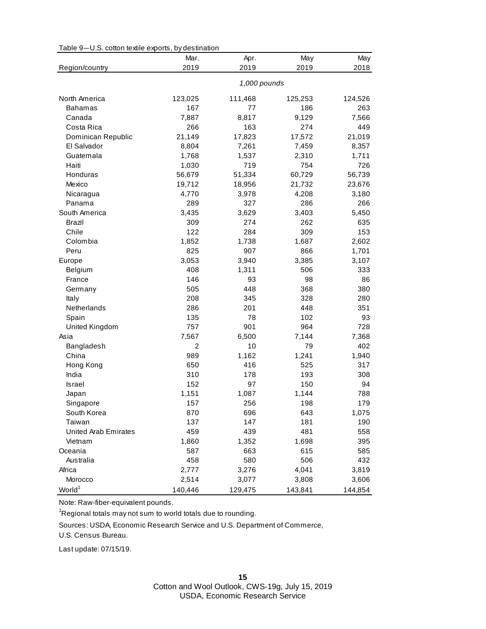| Table 9-U.S. cotton textile exports, by destination |  |
|-----------------------------------------------------|--|
|-----------------------------------------------------|--|

| 2019<br>2019<br>2019<br>2018<br>Region/country<br>1,000 pounds<br>North America<br>123,025<br>111,468<br>125,253<br>124,526<br>167<br>186<br>263<br><b>Bahamas</b><br>77<br>7,566<br>Canada<br>7,887<br>8,817<br>9,129<br>Costa Rica<br>266<br>163<br>274<br>449<br>Dominican Republic<br>21,149<br>17,823<br>17,572<br>21,019<br>El Salvador<br>7,261<br>7,459<br>8,357<br>8,804<br>Guatemala<br>1,537<br>2,310<br>1,711<br>1,768<br>Haiti<br>754<br>719<br>726<br>1,030<br>Honduras<br>56,679<br>51,334<br>60,729<br>56,739<br>Mexico<br>19,712<br>18,956<br>21,732<br>23,676<br>4,770<br>3,978<br>4,208<br>3,180<br>Nicaragua<br>Panama<br>289<br>327<br>286<br>266<br>South America<br>3,629<br>3,435<br>3,403<br>5,450<br>Brazil<br>309<br>274<br>262<br>635<br>Chile<br>122<br>284<br>309<br>153<br>Colombia<br>1,738<br>1,687<br>1,852<br>2,602<br>Peru<br>825<br>907<br>866<br>1,701<br>3,053<br>Europe<br>3,940<br>3,385<br>3,107<br>Belgium<br>408<br>506<br>333<br>1,311<br>146<br>98<br>France<br>93<br>86<br>505<br>368<br>380<br>448<br>Germany<br>208<br>328<br>345<br>280<br>Italy<br>Netherlands<br>286<br>201<br>448<br>351<br>78<br>102<br>Spain<br>135<br>93<br>757<br>901<br>964<br>728<br>United Kingdom<br>6,500<br>7,144<br>Asia<br>7,567<br>7,368<br>10<br>402<br>Bangladesh<br>2<br>79 |
|------------------------------------------------------------------------------------------------------------------------------------------------------------------------------------------------------------------------------------------------------------------------------------------------------------------------------------------------------------------------------------------------------------------------------------------------------------------------------------------------------------------------------------------------------------------------------------------------------------------------------------------------------------------------------------------------------------------------------------------------------------------------------------------------------------------------------------------------------------------------------------------------------------------------------------------------------------------------------------------------------------------------------------------------------------------------------------------------------------------------------------------------------------------------------------------------------------------------------------------------------------------------------------------------------------------|
|                                                                                                                                                                                                                                                                                                                                                                                                                                                                                                                                                                                                                                                                                                                                                                                                                                                                                                                                                                                                                                                                                                                                                                                                                                                                                                                  |
|                                                                                                                                                                                                                                                                                                                                                                                                                                                                                                                                                                                                                                                                                                                                                                                                                                                                                                                                                                                                                                                                                                                                                                                                                                                                                                                  |
|                                                                                                                                                                                                                                                                                                                                                                                                                                                                                                                                                                                                                                                                                                                                                                                                                                                                                                                                                                                                                                                                                                                                                                                                                                                                                                                  |
|                                                                                                                                                                                                                                                                                                                                                                                                                                                                                                                                                                                                                                                                                                                                                                                                                                                                                                                                                                                                                                                                                                                                                                                                                                                                                                                  |
|                                                                                                                                                                                                                                                                                                                                                                                                                                                                                                                                                                                                                                                                                                                                                                                                                                                                                                                                                                                                                                                                                                                                                                                                                                                                                                                  |
|                                                                                                                                                                                                                                                                                                                                                                                                                                                                                                                                                                                                                                                                                                                                                                                                                                                                                                                                                                                                                                                                                                                                                                                                                                                                                                                  |
|                                                                                                                                                                                                                                                                                                                                                                                                                                                                                                                                                                                                                                                                                                                                                                                                                                                                                                                                                                                                                                                                                                                                                                                                                                                                                                                  |
|                                                                                                                                                                                                                                                                                                                                                                                                                                                                                                                                                                                                                                                                                                                                                                                                                                                                                                                                                                                                                                                                                                                                                                                                                                                                                                                  |
|                                                                                                                                                                                                                                                                                                                                                                                                                                                                                                                                                                                                                                                                                                                                                                                                                                                                                                                                                                                                                                                                                                                                                                                                                                                                                                                  |
|                                                                                                                                                                                                                                                                                                                                                                                                                                                                                                                                                                                                                                                                                                                                                                                                                                                                                                                                                                                                                                                                                                                                                                                                                                                                                                                  |
|                                                                                                                                                                                                                                                                                                                                                                                                                                                                                                                                                                                                                                                                                                                                                                                                                                                                                                                                                                                                                                                                                                                                                                                                                                                                                                                  |
|                                                                                                                                                                                                                                                                                                                                                                                                                                                                                                                                                                                                                                                                                                                                                                                                                                                                                                                                                                                                                                                                                                                                                                                                                                                                                                                  |
|                                                                                                                                                                                                                                                                                                                                                                                                                                                                                                                                                                                                                                                                                                                                                                                                                                                                                                                                                                                                                                                                                                                                                                                                                                                                                                                  |
|                                                                                                                                                                                                                                                                                                                                                                                                                                                                                                                                                                                                                                                                                                                                                                                                                                                                                                                                                                                                                                                                                                                                                                                                                                                                                                                  |
|                                                                                                                                                                                                                                                                                                                                                                                                                                                                                                                                                                                                                                                                                                                                                                                                                                                                                                                                                                                                                                                                                                                                                                                                                                                                                                                  |
|                                                                                                                                                                                                                                                                                                                                                                                                                                                                                                                                                                                                                                                                                                                                                                                                                                                                                                                                                                                                                                                                                                                                                                                                                                                                                                                  |
|                                                                                                                                                                                                                                                                                                                                                                                                                                                                                                                                                                                                                                                                                                                                                                                                                                                                                                                                                                                                                                                                                                                                                                                                                                                                                                                  |
|                                                                                                                                                                                                                                                                                                                                                                                                                                                                                                                                                                                                                                                                                                                                                                                                                                                                                                                                                                                                                                                                                                                                                                                                                                                                                                                  |
|                                                                                                                                                                                                                                                                                                                                                                                                                                                                                                                                                                                                                                                                                                                                                                                                                                                                                                                                                                                                                                                                                                                                                                                                                                                                                                                  |
|                                                                                                                                                                                                                                                                                                                                                                                                                                                                                                                                                                                                                                                                                                                                                                                                                                                                                                                                                                                                                                                                                                                                                                                                                                                                                                                  |
|                                                                                                                                                                                                                                                                                                                                                                                                                                                                                                                                                                                                                                                                                                                                                                                                                                                                                                                                                                                                                                                                                                                                                                                                                                                                                                                  |
|                                                                                                                                                                                                                                                                                                                                                                                                                                                                                                                                                                                                                                                                                                                                                                                                                                                                                                                                                                                                                                                                                                                                                                                                                                                                                                                  |
|                                                                                                                                                                                                                                                                                                                                                                                                                                                                                                                                                                                                                                                                                                                                                                                                                                                                                                                                                                                                                                                                                                                                                                                                                                                                                                                  |
|                                                                                                                                                                                                                                                                                                                                                                                                                                                                                                                                                                                                                                                                                                                                                                                                                                                                                                                                                                                                                                                                                                                                                                                                                                                                                                                  |
|                                                                                                                                                                                                                                                                                                                                                                                                                                                                                                                                                                                                                                                                                                                                                                                                                                                                                                                                                                                                                                                                                                                                                                                                                                                                                                                  |
|                                                                                                                                                                                                                                                                                                                                                                                                                                                                                                                                                                                                                                                                                                                                                                                                                                                                                                                                                                                                                                                                                                                                                                                                                                                                                                                  |
|                                                                                                                                                                                                                                                                                                                                                                                                                                                                                                                                                                                                                                                                                                                                                                                                                                                                                                                                                                                                                                                                                                                                                                                                                                                                                                                  |
|                                                                                                                                                                                                                                                                                                                                                                                                                                                                                                                                                                                                                                                                                                                                                                                                                                                                                                                                                                                                                                                                                                                                                                                                                                                                                                                  |
|                                                                                                                                                                                                                                                                                                                                                                                                                                                                                                                                                                                                                                                                                                                                                                                                                                                                                                                                                                                                                                                                                                                                                                                                                                                                                                                  |
| China<br>989<br>1,162<br>1,241<br>1,940                                                                                                                                                                                                                                                                                                                                                                                                                                                                                                                                                                                                                                                                                                                                                                                                                                                                                                                                                                                                                                                                                                                                                                                                                                                                          |
| 650<br>Hong Kong<br>416<br>525<br>317                                                                                                                                                                                                                                                                                                                                                                                                                                                                                                                                                                                                                                                                                                                                                                                                                                                                                                                                                                                                                                                                                                                                                                                                                                                                            |
| 310<br>India<br>178<br>193<br>308                                                                                                                                                                                                                                                                                                                                                                                                                                                                                                                                                                                                                                                                                                                                                                                                                                                                                                                                                                                                                                                                                                                                                                                                                                                                                |
| 152<br>97<br>150<br><b>Israel</b><br>94                                                                                                                                                                                                                                                                                                                                                                                                                                                                                                                                                                                                                                                                                                                                                                                                                                                                                                                                                                                                                                                                                                                                                                                                                                                                          |
| 1,151<br>1,087<br>1,144<br>788<br>Japan                                                                                                                                                                                                                                                                                                                                                                                                                                                                                                                                                                                                                                                                                                                                                                                                                                                                                                                                                                                                                                                                                                                                                                                                                                                                          |
| 157<br>256<br>198<br>179<br>Singapore                                                                                                                                                                                                                                                                                                                                                                                                                                                                                                                                                                                                                                                                                                                                                                                                                                                                                                                                                                                                                                                                                                                                                                                                                                                                            |
| 1,075<br>South Korea<br>870<br>696<br>643                                                                                                                                                                                                                                                                                                                                                                                                                                                                                                                                                                                                                                                                                                                                                                                                                                                                                                                                                                                                                                                                                                                                                                                                                                                                        |
| 147<br>190<br>Taiwan<br>137<br>181                                                                                                                                                                                                                                                                                                                                                                                                                                                                                                                                                                                                                                                                                                                                                                                                                                                                                                                                                                                                                                                                                                                                                                                                                                                                               |
| 459<br><b>United Arab Emirates</b><br>439<br>481<br>558                                                                                                                                                                                                                                                                                                                                                                                                                                                                                                                                                                                                                                                                                                                                                                                                                                                                                                                                                                                                                                                                                                                                                                                                                                                          |
| 1,860<br>1,352<br>1,698<br>395<br>Vietnam                                                                                                                                                                                                                                                                                                                                                                                                                                                                                                                                                                                                                                                                                                                                                                                                                                                                                                                                                                                                                                                                                                                                                                                                                                                                        |
| Oceania<br>587<br>663<br>615<br>585                                                                                                                                                                                                                                                                                                                                                                                                                                                                                                                                                                                                                                                                                                                                                                                                                                                                                                                                                                                                                                                                                                                                                                                                                                                                              |
| Australia<br>458<br>580<br>506<br>432                                                                                                                                                                                                                                                                                                                                                                                                                                                                                                                                                                                                                                                                                                                                                                                                                                                                                                                                                                                                                                                                                                                                                                                                                                                                            |
| Africa<br>4,041<br>2,777<br>3,276<br>3,819                                                                                                                                                                                                                                                                                                                                                                                                                                                                                                                                                                                                                                                                                                                                                                                                                                                                                                                                                                                                                                                                                                                                                                                                                                                                       |
| Morocco<br>2,514<br>3,077<br>3,808<br>3,606                                                                                                                                                                                                                                                                                                                                                                                                                                                                                                                                                                                                                                                                                                                                                                                                                                                                                                                                                                                                                                                                                                                                                                                                                                                                      |
| World <sup>1</sup><br>140,446<br>129,475<br>143,841<br>144,854                                                                                                                                                                                                                                                                                                                                                                                                                                                                                                                                                                                                                                                                                                                                                                                                                                                                                                                                                                                                                                                                                                                                                                                                                                                   |

Note: Raw-fiber-equivalent pounds.

<sup>1</sup>Regional totals may not sum to world totals due to rounding.

Sources: USDA, Economic Research Service and U.S. Department of Commerce,

U.S. Census Bureau.

Last update: 07/15/19.